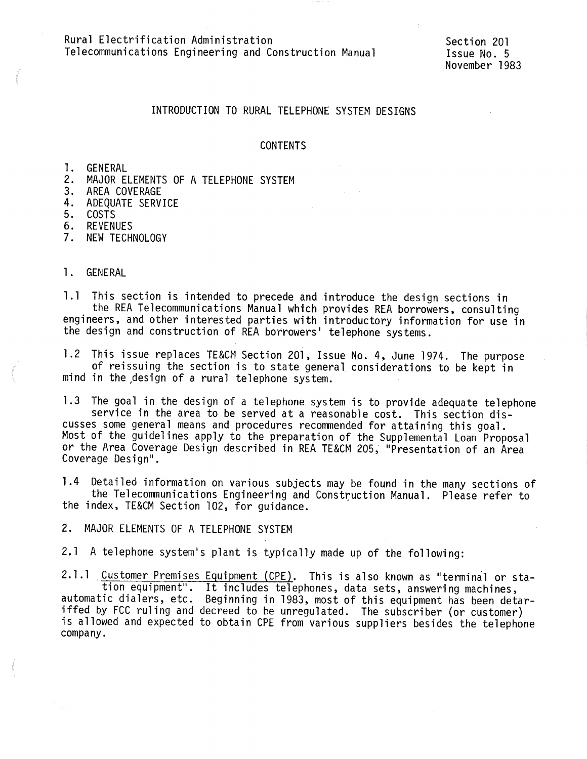Rural Electrification Administration Telecommunications Engineering and Construction Manual

Section 201 Issue No. 5 November 1983

# INTRODUCTION TO RURAL TELEPHONE SYSTEM DESIGNS

## CONTENTS

l. GENERAL

- 2. MAJOR ELEMENTS OF A TELEPHONE SYSTEM
- 3. AREA COVERAGE
- 4. ADEQUATE SERVICE
- 5. COSTS
- 6. REVENUES
- 7. NEW TECHNOLOGY

### l. GENERAL

1.1 This section is intended to precede and introduce the design sections in<br>the REA Telecommunications Manual which provides REA borrowers, consulting<br>engineers, and other interested parties with introductory information the design and construction of REA borrowers' telephone systems.

l .2 This issue replaces TE&CM Section 201, Issue No. 4, June 1974. The purpose of reissuing the section is to state general considerations to be kept in mind in the ,design of a rural telephone system.

1.3 The goal in the design of a telephone system is to provide adequate telephone service in the area to be served at a reasonable cost. This section dis cusses some general means and procedures recommended for attaining this goal. Most of the guidelines apply to the preparation of the Supplemental Loan Proposal or the Area Coverage Design described in REA TE&CM 205, "Presentation of an Area Coverage Design".

1.4 Detailed information on various subjects may be found in the many sections of<br>the Telecommunications Engineering and Construction Manual. Please refer to<br>the index, TE&CM Section 102, for guidance.

2. MAJOR ELEMENTS OF A TELEPHONE SYSTEM

2. l A telephone system's plant is typically made up of the following:

2.1.1 Customer Premises Equipment (CPE). This is also known as "terminal or station equipment". It includes telephones, data sets, answering machines, automatic dialers, etc. Beginning in 1983, most of this equipment has b iffed by FCC ruling and decreed to be unregulated. The subscriber (or customer) is allowed and expected to obtain CPE from various suppliers besides the telephone company.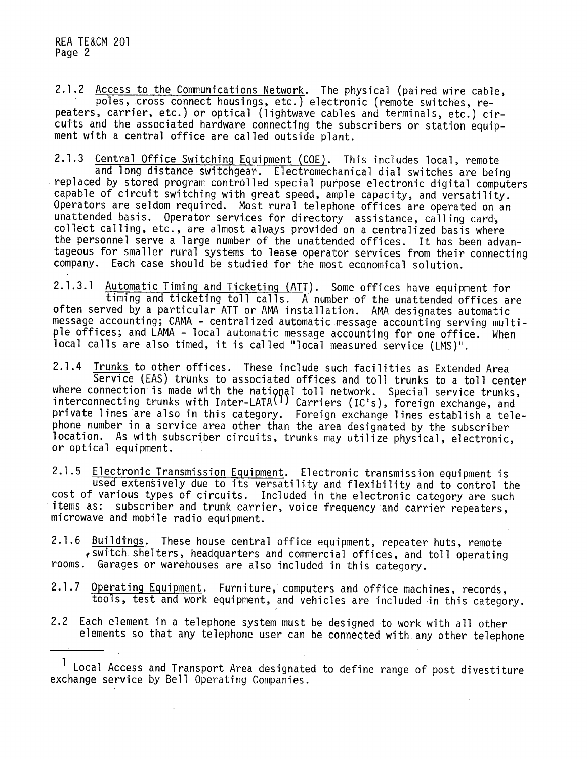2.1.2 Access to the Communications Network. The physical (paired wire cable,<br>poles, cross connect housings, etc.) electronic (remote switches, re-<br>peaters, carrier, etc.) or optical (lightwave cables and terminals, etc.) c cuits and the associated hardware connecting the subscribers or station equipment with a central office are called outside plant.

2.1.3 Central Office Switching Equipment (COE). This includes local, remote<br>and long distance switchgear. Electromechanical dial switches are being<br>replaced by stored program controlled special purpose electronic digital c capable of circuit switching with great speed, ample capacity, and versatility. Operators are seldom required. Most rural telephone offices are operated on an unattended basis. Operator services for directory assistance, calling card, collect calling, etc., are almost always provided on a centralized basis where the personnel serve a large number of the unattended offices. It has been advantageous for smaller rural systems to lease operator services from their connecting company. Each case should be studied for the most economical solution.

2.1.3.1 Automatic Timing and Ticketing (ATT). Some offices have equipment for<br>timing and ticketing toll calls. A number of the unattended offices are<br>often served by a particular ATT or AMA installation. AMA designates aut message accounting; CAMA - centralized automatic message accounting serving multi<sup>p</sup>le offices; and LAMA - local automatic message accounting for one office. When local calls are also timed, it is called "local measured service (LMS)".

2.1.4 Trunks to other offices. These include such facilities as Extended Area<br>Service (EAS) trunks to associated offices and toll trunks to a toll center where connection is made with the national toll network. Special service trunks, interconnecting trunks with Inter-LATA<sup>(1)</sup> Carriers (IC's), foreign exchange, and private lines are also in this category. Foreign exchange lines establish a tele<sup>p</sup>hone number in a service area other than the area designated by the subscriber location. As with subscriber circuits, trunks may utilize physical, electronic, or optical equipment.

2.1.5 Electronic Transmission Equipment. Electronic transmission equipment is<br>used extensively due to its versatility and flexibility and to control the<br>cost of various types of circuits. Included in the electronic categor items as: subscriber and trunk carrier, voice frequency and carrier repeaters, microwave and mobile radio equipment.

2.1.6 Buildings. These house central office equipment, repeater huts, remote , switch shelters, headquarters and commercial offices, and toll operating rooms. Garages or warehouses are also included in this category.

- 2.1.7 Operating Equipment. Furniture, computers and office machines, records, tools, test and work equipment, and vehicles are included in this category.
- 2.2 Each element in a telephone system must be designed to work with all other elements so that any telephone user can be connected with any other telephone

<sup>1</sup> Local Access and Transport Area designated to define range of post divestiture exchange service by Bell Operating Companies.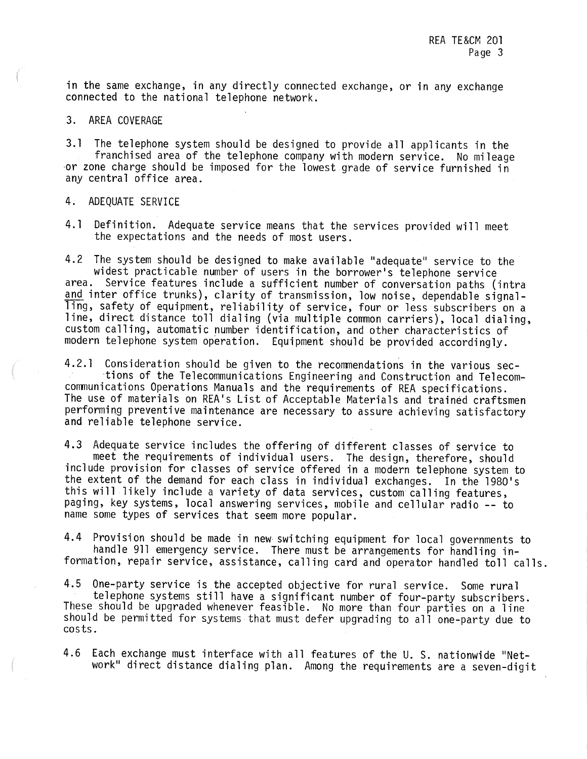in the same exchange, in any directly connected exchange, or in any exchange connected to the national telephone network.

#### 3. AREA COVERAGE

3.1 The telephone system should be designed to provide all applicants in the franchised area of the telephone company with modern service. No mileage or zone charge should be imposed for the lowest grade of service furnished in any central office area.

### 4. ADEQUATE SERVICE

4.1 Definition. Adequate service means that the services provided will meet the expectations and the needs of most users.

4.2 The system should be designed to make available "adequate" service to the<br>widest practicable number of users in the borrower's telephone service area. Service features include a sufficient number of conversation paths (intra and inter office trunks), clarity of transmission, low noise, dependable signalling, safety of equipment, reliability of service, four or less subscribers on a line, direct distance toll dialing (via multiple common carriers), local dialing, custom calling, automatic number identification, and other characteristics of modern telephone system operation. Equipment should be provided accordingly.

4.2.1 Consideration should be given to the recommendations in the various sec-<br>tions of the Telecommunications Engineering and Construction and Telecom-<br>communications Operations Manuals and the requirements of REA specifi The use of materials on REA's List of Acceptable Materials and trained craftsmen performing preventive maintenance are necessary to assure achieving satisfactory and reliable telephone service.

4.3 Adequate service includes the offering of different classes of service to<br>meet the requirements of individual users. The design, therefore, should<br>include provision for classes of service offered in a modern telephone the extent of the demand for each class in individual exchanges. this will likely include a variety of data services, custom calling features, paging, key systems, local answering services, mobile and cellular radio -- to name some types of services that seem more popular.

4.4 Provision should be made in new switching equipment for local governments to<br>handle 911 emergency service. There must be arrangements for handling in-<br>formation, repair service, assistance, calling card and operator ha

4.5 One-party service is the accepted objective for rural service. Some rural telephone systems still have a significant number of four-party subscribers.<br>These should be upgraded whenever feasible. No more than four parti should be permitted for systems that must defer upgrading to all one-party due to costs.

4.6 Each exchange must interface with all features of the U. S. nationwide "Net-<br>work" direct distance dialing plan. Among the requirements are a seven-digit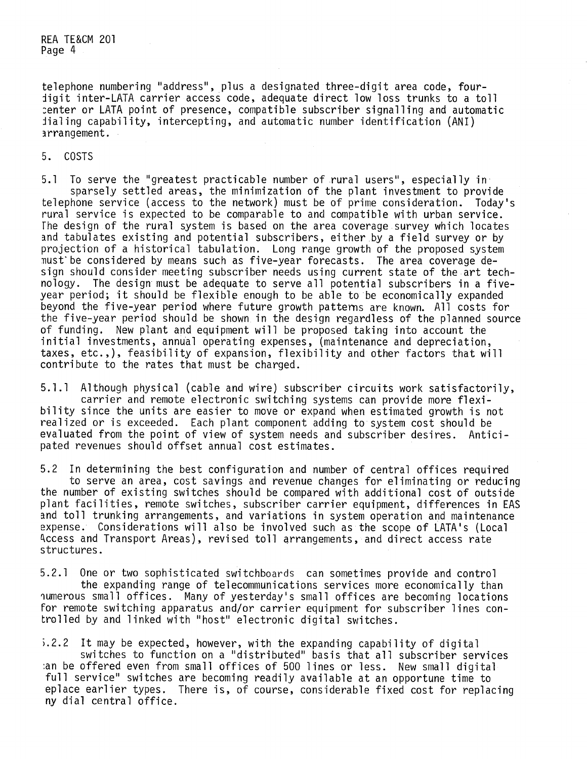telephone numbering "address", plus a designated three-digit area code, four-<br>digit inter-LATA carrier access code, adequate direct low loss trunks to a toll :enter or LATA point of presence, compatible subscriber signalling and automatic dialing capability, intercepting, and automatic number identification (ANI)  $irrangement$ .

## 5. COSTS

5.1 To serve the "greatest practicable number of rural users", especially in sparsely settled areas, the minimization of the plant investment to provide telephone service (access to the network) must be of prime considerat rural service is expected to be comparable to and compatible with urban service.<br>The design of the rural system is based on the area coverage survey which locates and tabulates existing and potential subscribers, either by a field survey or by<br>projection of a historical tabulation. Long range growth of the proposed system<br>must be considered by means such as five-year forecasts. The sign should consider meeting subscriber needs using current state of the art technology. The design must be adequate to serve all potential subscribers in a fiveyear period; it should be flexible enough to be able to be economically expanded beyond the five-year period where future growth patterns are known. All costs for the five-year period should be shown in the design regardless of the planned source of funding. New plant and equipment will be proposed taking into account the initial investments, annual operating expenses, (maintenance and depreciation, taxes, etc.,), feasibility of expansion, flexibility and other factors that will contribute to the rates that must be charged.

5.1.1 Although physical (cable and wire) subscriber circuits work satisfactorily,<br>carrier and remote electronic switching systems can provide more flexi-<br>bility since the units are easier to move or expand when estimated g realized or is exceeded. Each plant component adding to system cost should be evaluated from the point of view of system needs and subscriber desires. Anticipated revenues should offset annual cost estimates.

5.2 In determining the best configuration and number of central offices required<br>to serve an area, cost savings and revenue changes for eliminating or reducing<br>the number of existing switches should be compared with additi plant facilities, remote switches, subscriber carrier equipment, differences in EAS<br>and toll trunking arrangements, and variations in system operation and maintenance expense. Considerations will also be involved such as the scope of LATA's (Local Access and Transport Areas), revised toll arrangements, and direct access rate structures.

5.2.1 One or two sophisticated switchboards can sometimes provide and control<br>the expanding range of telecommunications services more economically than<br>numerous small offices. Many of yesterday's small offices are becoming trolled by and linked with "host" electronic digital switches.

i.2.2 It may be expected, however, with the expanding capability of digital switches to function on a "distributed" basis that all subscriber services :an be offered even from small offices of 500 lines or less. New small digital full service" switches are becoming readily available at an opportune time to eplace earlier types. There is, of course, considerable fixed cost for replacing ny dial central office.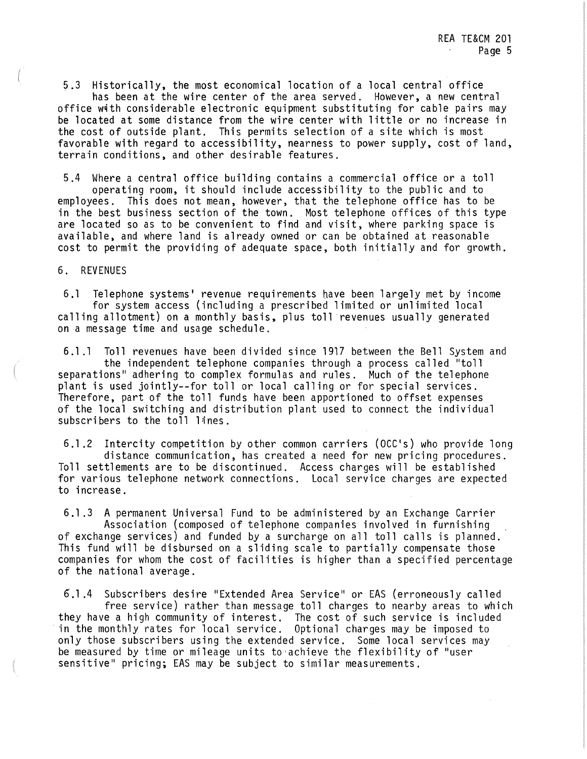5.3 Historically, the most economical location of a local central office has been at the wire center of the area served. However, a new central office with considerable electronic equipment substituting for cable pairs may be located at some distance from the wire center with little or no increase in the cost of outside plant. This permits selection of a site which is most favorable with regard to accessibility, nearness to power supply, cost of land, terrain conditions, and other desirable features.

5.4 Where a central office building contains a commercial office or a toll operating room, it should include accessibility to the public and to employees. This does not mean, however, that the telephone office has to be in the best business section of the town. Most telephone offices of this type are located so as to be convenient to find and visit, where parking space is available, and where land is already owned or can be obtained at reasonable cost to permit the providing of adequate space, both initially and for growth.

6. REVENUES

6.1 Telephone systems' revenue requirements nave been largely met by income for system access (including a prescribed limited or unlimited local calling allotment) on a monthly basis, plus toll revenues usually generated on a message time and usage schedule.

6.1 .l Toll revenues have been divided since 1917 between the Bell System and the independent telephone companies through a process called "toll separations" adhering to complex formulas and rules. Much of the telephone plant is used jointly--for toll or local calling or for special services. Therefore, part of the toll funds have been apportioned to offset expenses of the local switching and distribution plant used to connect the individual subscribers to the toll lines.

6.1 .2 Intercity competition by other common carriers (OCC's) who provide long distance communication, has created a need for new pricing procedures. Toll settlements are to be discontinued. Access charges will be established for various telephone network connections. Local service charges are expected to increase.

6.1 .3 A permanent Universal Fund to be administered by an Exchange Carrier Association (composed of telephone companies involved in furnishing of exchange services) and funded by a surcharge on all toll calls is planned. This fund will be disbursed on a sliding scale to partially compensate those companies for whom the cost of facilities is higher than a specified percentage of the national average.

6.1.4 Subscribers desire "Extended Area Service" or EAS (erroneously called free service) rather than message toll charges to nearby areas to which they have a high community of interest. The cost of such service is included · in the monthly rates for local service. Optional charges may be imposed to only those subscribers using the extended service. Some local services may be measured by time or mileage units to•achieve the flexibility of "user sensitive" pricing; EAS may be subject to similar measurements.